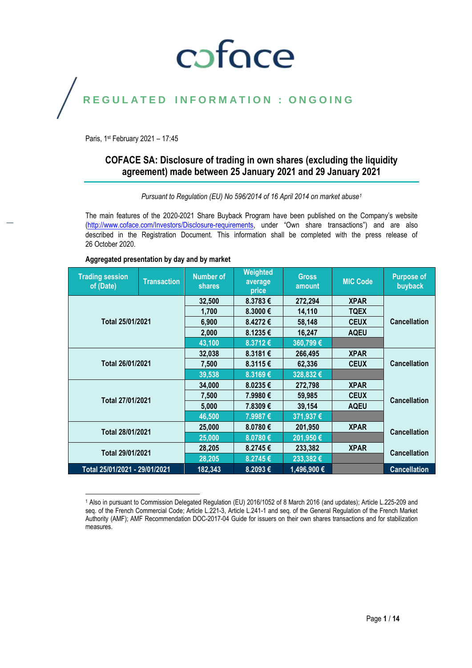## coface

## REGULATED INFORMATION : ONGOING

Paris, 1st February 2021 - 17:45

### **COFACE SA: Disclosure of trading in own shares (excluding the liquidity agreement) made between 25 January 2021 and 29 January 2021**

*Pursuant to Regulation (EU) No 596/2014 of 16 April 2014 on market abuse<sup>1</sup>*

The main features of the 2020-2021 Share Buyback Program have been published on the Company's website [\(http://www.coface.com/Investors/Disclosure-requirements](http://www.coface.com/Investors/Disclosure-requirements), under "Own share transactions") and are also described in the Registration Document. This information shall be completed with the press release of 26 October 2020.

| <b>Trading session</b><br>of (Date) | <b>Transaction</b> | <b>Number of</b><br><b>shares</b> | Weighted<br>average<br>price | <b>Gross</b><br>amount | <b>MIC Code</b> | <b>Purpose of</b><br>buyback |  |
|-------------------------------------|--------------------|-----------------------------------|------------------------------|------------------------|-----------------|------------------------------|--|
|                                     |                    | 32,500                            | 8.3783€                      | 272,294                | <b>XPAR</b>     |                              |  |
|                                     |                    | 1,700                             | 8.3000€                      | 14,110                 | <b>TQEX</b>     |                              |  |
| Total 25/01/2021                    |                    | 6,900                             | 8.4272€                      | 58,148                 | <b>CEUX</b>     | <b>Cancellation</b>          |  |
|                                     |                    | 2,000                             | 8.1235€                      | 16,247                 | <b>AQEU</b>     |                              |  |
|                                     |                    | 43,100                            | 8.3712€                      | 360,799€               |                 |                              |  |
|                                     |                    | 32,038                            | 8.3181€                      | 266,495                | <b>XPAR</b>     |                              |  |
| Total 26/01/2021                    |                    | 7,500                             | 8.3115€                      | 62,336                 | <b>CEUX</b>     | <b>Cancellation</b>          |  |
|                                     |                    | 39,538                            | 8.3169€                      | 328,832€               |                 |                              |  |
|                                     |                    | 34,000                            | 8.0235€                      | 272,798                | <b>XPAR</b>     | <b>Cancellation</b>          |  |
| Total 27/01/2021                    |                    | 7,500                             | 7.9980€                      | 59,985                 | <b>CEUX</b>     |                              |  |
|                                     |                    | 5,000                             | 7.8309€                      | 39,154                 | <b>AQEU</b>     |                              |  |
|                                     |                    | 46,500                            | 7.9987€                      | 371,937€               |                 |                              |  |
| Total 28/01/2021                    |                    | 25,000                            | 8.0780€                      | 201,950                | <b>XPAR</b>     | <b>Cancellation</b>          |  |
|                                     |                    | 25,000                            | $8.0780 \in$                 | 201,950 €              |                 |                              |  |
| Total 29/01/2021                    |                    | 28,205                            | 8.2745€                      | 233,382                | <b>XPAR</b>     | <b>Cancellation</b>          |  |
|                                     |                    | 28,205                            | 8.2745€                      | $233,382$ €            |                 |                              |  |
| Total 25/01/2021 - 29/01/2021       |                    | 182,343                           | 8.2093€                      | 1,496,900 €            |                 | <b>Cancellation</b>          |  |

### **Aggregated presentation by day and by market**

 $\overline{a}$ <sup>1</sup> Also in pursuant to Commission Delegated Regulation (EU) 2016/1052 of 8 March 2016 (and updates); Article L.225-209 and seq. of the French Commercial Code; Article L.221-3, Article L.241-1 and seq. of the General Regulation of the French Market Authority (AMF); AMF Recommendation DOC-2017-04 Guide for issuers on their own shares transactions and for stabilization measures.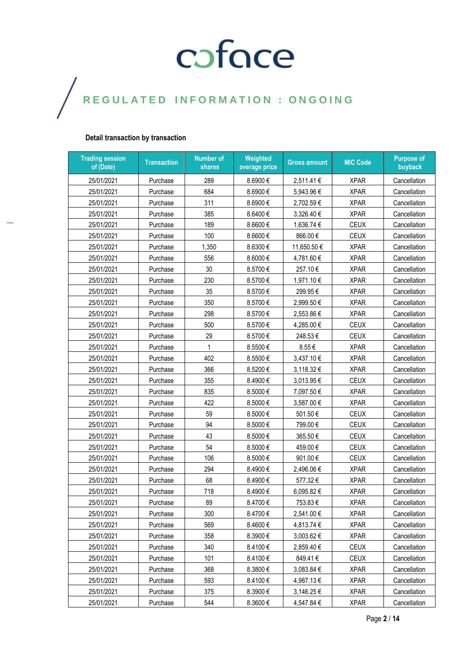### **Detail transaction by transaction**

| <b>Trading session</b><br>of (Date) | <b>Transaction</b> | <b>Number of</b><br>shares | Weighted<br>average price | <b>Gross amount</b> | <b>MIC Code</b> | <b>Purpose of</b><br>buyback |
|-------------------------------------|--------------------|----------------------------|---------------------------|---------------------|-----------------|------------------------------|
| 25/01/2021                          | Purchase           | 289                        | 8.6900€                   | 2,511.41€           | <b>XPAR</b>     | Cancellation                 |
| 25/01/2021                          | Purchase           | 684                        | 8.6900€                   | 5,943.96€           | <b>XPAR</b>     | Cancellation                 |
| 25/01/2021                          | Purchase           | 311                        | 8.6900€                   | 2,702.59€           | <b>XPAR</b>     | Cancellation                 |
| 25/01/2021                          | Purchase           | 385                        | 8.6400€                   | 3,326.40 €          | <b>XPAR</b>     | Cancellation                 |
| 25/01/2021                          | Purchase           | 189                        | 8.6600€                   | 1,636.74 €          | CEUX            | Cancellation                 |
| 25/01/2021                          | Purchase           | 100                        | 8.6600€                   | 866.00€             | <b>CEUX</b>     | Cancellation                 |
| 25/01/2021                          | Purchase           | 1,350                      | 8.6300€                   | 11,650.50€          | <b>XPAR</b>     | Cancellation                 |
| 25/01/2021                          | Purchase           | 556                        | 8.6000€                   | 4,781.60 €          | <b>XPAR</b>     | Cancellation                 |
| 25/01/2021                          | Purchase           | 30                         | 8.5700€                   | 257.10€             | <b>XPAR</b>     | Cancellation                 |
| 25/01/2021                          | Purchase           | 230                        | 8.5700€                   | 1,971.10€           | <b>XPAR</b>     | Cancellation                 |
| 25/01/2021                          | Purchase           | 35                         | 8.5700€                   | 299.95€             | <b>XPAR</b>     | Cancellation                 |
| 25/01/2021                          | Purchase           | 350                        | 8.5700€                   | 2,999.50€           | <b>XPAR</b>     | Cancellation                 |
| 25/01/2021                          | Purchase           | 298                        | 8.5700€                   | 2,553.86 €          | <b>XPAR</b>     | Cancellation                 |
| 25/01/2021                          | Purchase           | 500                        | 8.5700€                   | 4,285.00 €          | CEUX            | Cancellation                 |
| 25/01/2021                          | Purchase           | 29                         | 8.5700€                   | 248.53€             | <b>CEUX</b>     | Cancellation                 |
| 25/01/2021                          | Purchase           | 1                          | 8.5500€                   | 8.55€               | <b>XPAR</b>     | Cancellation                 |
| 25/01/2021                          | Purchase           | 402                        | 8.5500€                   | 3,437.10 €          | <b>XPAR</b>     | Cancellation                 |
| 25/01/2021                          | Purchase           | 366                        | 8.5200€                   | 3,118.32 €          | <b>XPAR</b>     | Cancellation                 |
| 25/01/2021                          | Purchase           | 355                        | 8.4900€                   | 3,013.95€           | <b>CEUX</b>     | Cancellation                 |
| 25/01/2021                          | Purchase           | 835                        | 8.5000€                   | 7,097.50 €          | <b>XPAR</b>     | Cancellation                 |
| 25/01/2021                          | Purchase           | 422                        | 8.5000€                   | 3,587.00 €          | <b>XPAR</b>     | Cancellation                 |
| 25/01/2021                          | Purchase           | 59                         | 8.5000€                   | 501.50€             | <b>CEUX</b>     | Cancellation                 |
| 25/01/2021                          | Purchase           | 94                         | 8.5000€                   | 799.00€             | <b>CEUX</b>     | Cancellation                 |
| 25/01/2021                          | Purchase           | 43                         | 8.5000€                   | 365.50€             | <b>CEUX</b>     | Cancellation                 |
| 25/01/2021                          | Purchase           | 54                         | 8.5000€                   | 459.00€             | <b>CEUX</b>     | Cancellation                 |
| 25/01/2021                          | Purchase           | 106                        | 8.5000€                   | 901.00€             | <b>CEUX</b>     | Cancellation                 |
| 25/01/2021                          | Purchase           | 294                        | 8.4900€                   | 2,496.06€           | <b>XPAR</b>     | Cancellation                 |
| 25/01/2021                          | Purchase           | 68                         | 8.4900€                   | 577.32€             | <b>XPAR</b>     | Cancellation                 |
| 25/01/2021                          | Purchase           | 718                        | 8.4900€                   | 6,095.82€           | <b>XPAR</b>     | Cancellation                 |
| 25/01/2021                          | Purchase           | 89                         | 8.4700€                   | 753.83€             | <b>XPAR</b>     | Cancellation                 |
| 25/01/2021                          | Purchase           | 300                        | 8.4700€                   | 2,541.00 €          | <b>XPAR</b>     | Cancellation                 |
| 25/01/2021                          | Purchase           | 569                        | 8.4600€                   | 4,813.74 €          | <b>XPAR</b>     | Cancellation                 |
| 25/01/2021                          | Purchase           | 358                        | 8.3900€                   | 3,003.62€           | <b>XPAR</b>     | Cancellation                 |
| 25/01/2021                          | Purchase           | 340                        | 8.4100€                   | 2,859.40€           | <b>CEUX</b>     | Cancellation                 |
| 25/01/2021                          | Purchase           | 101                        | 8.4100€                   | 849.41€             | <b>CEUX</b>     | Cancellation                 |
| 25/01/2021                          | Purchase           | 368                        | 8.3800€                   | 3,083.84 €          | <b>XPAR</b>     | Cancellation                 |
| 25/01/2021                          | Purchase           | 593                        | 8.4100€                   | 4,987.13€           | <b>XPAR</b>     | Cancellation                 |
| 25/01/2021                          | Purchase           | 375                        | 8.3900€                   | 3,146.25 €          | <b>XPAR</b>     | Cancellation                 |
| 25/01/2021                          | Purchase           | 544                        | 8.3600€                   | 4,547.84 €          | <b>XPAR</b>     | Cancellation                 |

Page **2** / **14**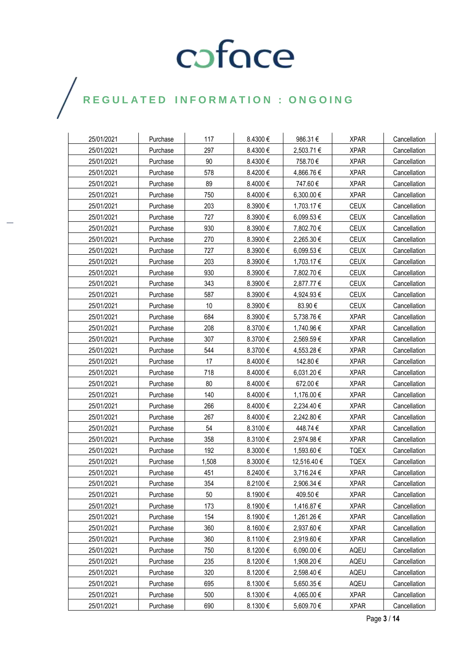### $\bigg)$

| 25/01/2021               | Purchase             | 117       | 8.4300€            | 986.31€     | <b>XPAR</b>                | Cancellation |
|--------------------------|----------------------|-----------|--------------------|-------------|----------------------------|--------------|
| 25/01/2021               | Purchase             | 297       | 8.4300€            | 2,503.71 €  | <b>XPAR</b>                | Cancellation |
| 25/01/2021               | Purchase             | 90        | 8.4300€            | 758.70€     | <b>XPAR</b>                | Cancellation |
| 25/01/2021               | Purchase             | 578       | 8.4200€            | 4,866.76 €  | <b>XPAR</b>                | Cancellation |
| 25/01/2021               | Purchase             | 89        | 8.4000€            | 747.60€     | <b>XPAR</b>                | Cancellation |
| 25/01/2021               | Purchase             | 750       | 8.4000€            | 6,300.00 €  | <b>XPAR</b>                | Cancellation |
| 25/01/2021               | Purchase             | 203       | 8.3900€            | 1,703.17 €  | <b>CEUX</b>                | Cancellation |
| 25/01/2021               | Purchase             | 727       | 8.3900€            | 6,099.53 €  | <b>CEUX</b>                | Cancellation |
| 25/01/2021               | Purchase             | 930       | 8.3900€            | 7,802.70 €  | <b>CEUX</b>                | Cancellation |
| 25/01/2021               | Purchase             | 270       | 8.3900€            | 2,265.30 €  | <b>CEUX</b>                | Cancellation |
| 25/01/2021               | Purchase             | 727       | 8.3900€            | 6,099.53 €  | <b>CEUX</b>                | Cancellation |
| 25/01/2021               | Purchase             | 203       | 8.3900€            | 1,703.17 €  | <b>CEUX</b>                | Cancellation |
| 25/01/2021               | Purchase             | 930       | 8.3900€            | 7,802.70 €  | <b>CEUX</b>                | Cancellation |
| 25/01/2021               | Purchase             | 343       | 8.3900€            | 2,877.77 €  | <b>CEUX</b>                | Cancellation |
| 25/01/2021               | Purchase             | 587       | 8.3900€            | 4,924.93€   | <b>CEUX</b>                | Cancellation |
| 25/01/2021               | Purchase             | 10        | 8.3900€            | 83.90€      | <b>CEUX</b>                | Cancellation |
| 25/01/2021               | Purchase             | 684       | 8.3900€            | 5,738.76 €  | <b>XPAR</b>                | Cancellation |
| 25/01/2021               |                      | 208       |                    | 1,740.96 €  | <b>XPAR</b>                | Cancellation |
| 25/01/2021               | Purchase<br>Purchase | 307       | 8.3700€<br>8.3700€ |             | <b>XPAR</b>                | Cancellation |
| 25/01/2021               |                      | 544       | 8.3700 €           | 2,569.59€   |                            |              |
|                          | Purchase             | 17        |                    | 4,553.28 €  | <b>XPAR</b>                | Cancellation |
| 25/01/2021               | Purchase             |           | 8.4000€            | 142.80€     | <b>XPAR</b>                | Cancellation |
| 25/01/2021<br>25/01/2021 | Purchase             | 718<br>80 | 8.4000€<br>8.4000€ | 6,031.20 €  | <b>XPAR</b><br><b>XPAR</b> | Cancellation |
|                          | Purchase             |           |                    | 672.00€     |                            | Cancellation |
| 25/01/2021               | Purchase             | 140       | 8.4000€            | 1,176.00 €  | <b>XPAR</b>                | Cancellation |
| 25/01/2021               | Purchase             | 266       | 8.4000€            | 2,234.40 €  | <b>XPAR</b>                | Cancellation |
| 25/01/2021               | Purchase             | 267       | 8.4000€            | 2,242.80 €  | <b>XPAR</b>                | Cancellation |
| 25/01/2021               | Purchase             | 54        | 8.3100€            | 448.74€     | <b>XPAR</b>                | Cancellation |
| 25/01/2021               | Purchase             | 358       | 8.3100€            | 2,974.98 €  | <b>XPAR</b>                | Cancellation |
| 25/01/2021               | Purchase             | 192       | 8.3000€            | 1,593.60 €  | <b>TQEX</b>                | Cancellation |
| 25/01/2021               | Purchase             | 1,508     | 8.3000€            | 12,516.40 € | <b>TQEX</b>                | Cancellation |
| 25/01/2021               | Purchase             | 451       | 8.2400€            | 3,716.24 €  | <b>XPAR</b>                | Cancellation |
| 25/01/2021               | Purchase             | 354       | 8.2100€            | 2,906.34 €  | <b>XPAR</b>                | Cancellation |
| 25/01/2021               | Purchase             | 50        | 8.1900€            | 409.50€     | <b>XPAR</b>                | Cancellation |
| 25/01/2021               | Purchase             | 173       | 8.1900€            | 1,416.87 €  | <b>XPAR</b>                | Cancellation |
| 25/01/2021               | Purchase             | 154       | 8.1900€            | 1,261.26€   | <b>XPAR</b>                | Cancellation |
| 25/01/2021               | Purchase             | 360       | 8.1600€            | 2,937.60 €  | <b>XPAR</b>                | Cancellation |
| 25/01/2021               | Purchase             | 360       | 8.1100€            | 2,919.60 €  | <b>XPAR</b>                | Cancellation |
| 25/01/2021               | Purchase             | 750       | 8.1200€            | 6,090.00 €  | AQEU                       | Cancellation |
| 25/01/2021               | Purchase             | 235       | 8.1200€            | 1,908.20 €  | AQEU                       | Cancellation |
| 25/01/2021               | Purchase             | 320       | 8.1200€            | 2,598.40 €  | <b>AQEU</b>                | Cancellation |
| 25/01/2021               | Purchase             | 695       | 8.1300€            | 5,650.35 €  | AQEU                       | Cancellation |
| 25/01/2021               | Purchase             | 500       | 8.1300€            | 4,065.00€   | <b>XPAR</b>                | Cancellation |
| 25/01/2021               | Purchase             | 690       | 8.1300€            | 5,609.70 €  | <b>XPAR</b>                | Cancellation |

Page **3** / **14**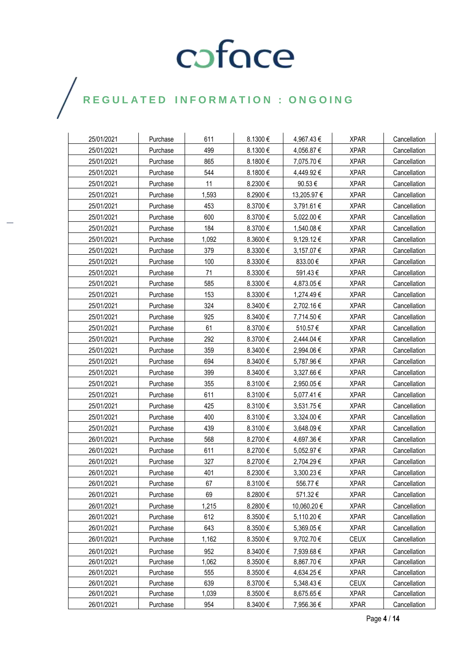| 25/01/2021 | Purchase | 611   | 8.1300€      | 4,967.43 €     | <b>XPAR</b> | Cancellation |
|------------|----------|-------|--------------|----------------|-------------|--------------|
| 25/01/2021 | Purchase | 499   | 8.1300€      | 4,056.87€      | <b>XPAR</b> | Cancellation |
| 25/01/2021 | Purchase | 865   | 8.1800€      | 7,075.70 €     | <b>XPAR</b> | Cancellation |
| 25/01/2021 | Purchase | 544   | 8.1800€      | 4,449.92€      | <b>XPAR</b> | Cancellation |
| 25/01/2021 | Purchase | 11    | 8.2300€      | 90.53€         | <b>XPAR</b> | Cancellation |
| 25/01/2021 | Purchase | 1,593 | 8.2900€      | 13,205.97 €    | <b>XPAR</b> | Cancellation |
| 25/01/2021 | Purchase | 453   | 8.3700€      | 3,791.61 €     | <b>XPAR</b> | Cancellation |
| 25/01/2021 | Purchase | 600   | 8.3700€      | 5,022.00 €     | <b>XPAR</b> | Cancellation |
| 25/01/2021 | Purchase | 184   | 8.3700€      | 1,540.08 €     | <b>XPAR</b> | Cancellation |
| 25/01/2021 | Purchase | 1,092 | 8.3600€      | $9,129.12 \in$ | <b>XPAR</b> | Cancellation |
| 25/01/2021 | Purchase | 379   | 8.3300€      | 3,157.07 €     | <b>XPAR</b> | Cancellation |
| 25/01/2021 | Purchase | 100   | 8.3300€      | 833.00€        | <b>XPAR</b> | Cancellation |
| 25/01/2021 | Purchase | 71    | 8.3300€      | 591.43€        | <b>XPAR</b> | Cancellation |
| 25/01/2021 | Purchase | 585   | 8.3300€      | 4,873.05 €     | <b>XPAR</b> | Cancellation |
| 25/01/2021 | Purchase | 153   | 8.3300€      | 1,274.49€      | <b>XPAR</b> | Cancellation |
| 25/01/2021 | Purchase | 324   | 8.3400€      | 2,702.16 €     | <b>XPAR</b> | Cancellation |
| 25/01/2021 | Purchase | 925   | 8.3400€      | 7,714.50 €     | <b>XPAR</b> | Cancellation |
| 25/01/2021 | Purchase | 61    | 8.3700€      | 510.57€        | <b>XPAR</b> | Cancellation |
| 25/01/2021 | Purchase | 292   | 8.3700€      | 2,444.04 €     | <b>XPAR</b> | Cancellation |
| 25/01/2021 | Purchase | 359   | 8.3400€      | 2,994.06 €     | <b>XPAR</b> | Cancellation |
| 25/01/2021 | Purchase | 694   | 8.3400€      | 5,787.96€      | <b>XPAR</b> | Cancellation |
| 25/01/2021 | Purchase | 399   | 8.3400€      | 3,327.66 €     | <b>XPAR</b> | Cancellation |
| 25/01/2021 | Purchase | 355   | 8.3100€      | 2,950.05 €     | <b>XPAR</b> | Cancellation |
| 25/01/2021 | Purchase | 611   | 8.3100€      | 5,077.41 €     | <b>XPAR</b> | Cancellation |
| 25/01/2021 | Purchase | 425   | 8.3100€      | 3,531.75 €     | <b>XPAR</b> | Cancellation |
| 25/01/2021 | Purchase | 400   | 8.3100€      | 3,324.00 €     | <b>XPAR</b> | Cancellation |
| 25/01/2021 | Purchase | 439   | 8.3100€      | 3,648.09€      | <b>XPAR</b> | Cancellation |
| 26/01/2021 | Purchase | 568   | 8.2700€      | 4,697.36 €     | <b>XPAR</b> | Cancellation |
| 26/01/2021 | Purchase | 611   | 8.2700€      | 5,052.97 €     | <b>XPAR</b> | Cancellation |
| 26/01/2021 | Purchase | 327   | 8.2700€      | 2,704.29€      | <b>XPAR</b> | Cancellation |
| 26/01/2021 | Purchase | 401   | 8.2300€      | 3,300.23 €     | <b>XPAR</b> | Cancellation |
| 26/01/2021 | Purchase | 67    | 8.3100€      | 556.77€        | <b>XPAR</b> | Cancellation |
| 26/01/2021 | Purchase | 69    | 8.2800€      | 571.32€        | <b>XPAR</b> | Cancellation |
| 26/01/2021 | Purchase | 1,215 | 8.2800€      | 10,060.20€     | <b>XPAR</b> | Cancellation |
| 26/01/2021 | Purchase | 612   | 8.3500€      | 5,110.20 €     | <b>XPAR</b> | Cancellation |
| 26/01/2021 | Purchase | 643   | 8.3500€      | 5,369.05€      | <b>XPAR</b> | Cancellation |
| 26/01/2021 | Purchase | 1,162 | 8.3500 $\in$ | 9,702.70€      | <b>CEUX</b> | Cancellation |
| 26/01/2021 | Purchase | 952   | 8.3400€      | 7,939.68€      | <b>XPAR</b> | Cancellation |
| 26/01/2021 | Purchase | 1,062 | 8.3500€      | 8,867.70 €     | <b>XPAR</b> | Cancellation |
| 26/01/2021 | Purchase | 555   | 8.3500€      | 4,634.25 €     | <b>XPAR</b> | Cancellation |
| 26/01/2021 | Purchase | 639   | 8.3700€      | 5,348.43€      | <b>CEUX</b> | Cancellation |
| 26/01/2021 | Purchase | 1,039 | 8.3500€      | 8,675.65€      | <b>XPAR</b> | Cancellation |
| 26/01/2021 | Purchase | 954   | 8.3400€      | 7,956.36 €     | <b>XPAR</b> | Cancellation |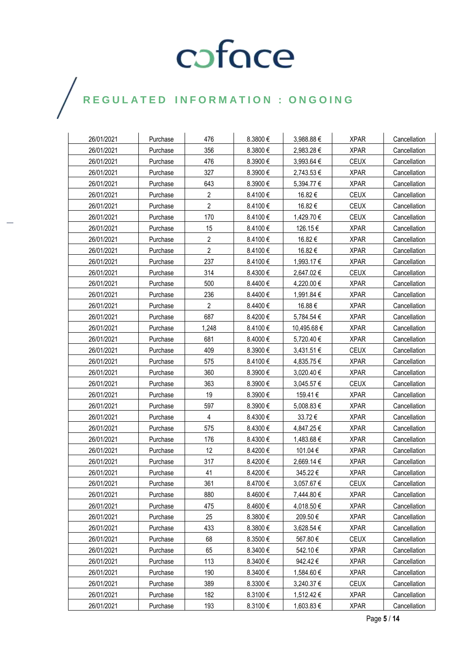### $\bigg)$

| 26/01/2021 | Purchase | 476            | 8.3800€ | 3,988.88€   | <b>XPAR</b> | Cancellation |
|------------|----------|----------------|---------|-------------|-------------|--------------|
| 26/01/2021 | Purchase | 356            | 8.3800€ | 2,983.28€   | <b>XPAR</b> | Cancellation |
| 26/01/2021 | Purchase | 476            | 8.3900€ | 3,993.64 €  | <b>CEUX</b> | Cancellation |
| 26/01/2021 | Purchase | 327            | 8.3900€ | 2,743.53 €  | <b>XPAR</b> | Cancellation |
| 26/01/2021 | Purchase | 643            | 8.3900€ | 5,394.77 €  | <b>XPAR</b> | Cancellation |
| 26/01/2021 | Purchase | 2              | 8.4100€ | 16.82€      | <b>CEUX</b> | Cancellation |
| 26/01/2021 | Purchase | $\overline{2}$ | 8.4100€ | 16.82€      | <b>CEUX</b> | Cancellation |
| 26/01/2021 | Purchase | 170            | 8.4100€ | 1,429.70 €  | <b>CEUX</b> | Cancellation |
| 26/01/2021 | Purchase | 15             | 8.4100€ | 126.15€     | <b>XPAR</b> | Cancellation |
| 26/01/2021 | Purchase | $\overline{2}$ | 8.4100€ | 16.82€      | <b>XPAR</b> | Cancellation |
| 26/01/2021 | Purchase | $\overline{2}$ | 8.4100€ | 16.82€      | <b>XPAR</b> | Cancellation |
| 26/01/2021 | Purchase | 237            | 8.4100€ | 1,993.17 €  | <b>XPAR</b> | Cancellation |
| 26/01/2021 | Purchase | 314            | 8.4300€ | 2,647.02€   | <b>CEUX</b> | Cancellation |
| 26/01/2021 | Purchase | 500            | 8.4400€ | 4,220.00 €  | <b>XPAR</b> | Cancellation |
| 26/01/2021 | Purchase | 236            | 8.4400€ | 1,991.84 €  | <b>XPAR</b> | Cancellation |
| 26/01/2021 | Purchase | $\overline{2}$ | 8.4400€ | 16.88€      | <b>XPAR</b> | Cancellation |
| 26/01/2021 | Purchase | 687            | 8.4200€ | 5,784.54 €  | <b>XPAR</b> | Cancellation |
| 26/01/2021 | Purchase | 1,248          | 8.4100€ | 10,495.68 € | <b>XPAR</b> | Cancellation |
| 26/01/2021 | Purchase | 681            | 8.4000€ | 5,720.40 €  | <b>XPAR</b> | Cancellation |
| 26/01/2021 | Purchase | 409            | 8.3900€ | 3,431.51 €  | <b>CEUX</b> | Cancellation |
| 26/01/2021 | Purchase | 575            | 8.4100€ | 4,835.75€   | <b>XPAR</b> | Cancellation |
| 26/01/2021 | Purchase | 360            | 8.3900€ | 3,020.40 €  | <b>XPAR</b> | Cancellation |
| 26/01/2021 | Purchase | 363            | 8.3900€ | 3,045.57 €  | <b>CEUX</b> | Cancellation |
| 26/01/2021 | Purchase | 19             | 8.3900€ | 159.41 €    | <b>XPAR</b> | Cancellation |
| 26/01/2021 | Purchase | 597            | 8.3900€ | 5,008.83 €  | <b>XPAR</b> | Cancellation |
| 26/01/2021 | Purchase | 4              | 8.4300€ | 33.72€      | <b>XPAR</b> | Cancellation |
| 26/01/2021 | Purchase | 575            | 8.4300€ | 4,847.25 €  | <b>XPAR</b> | Cancellation |
| 26/01/2021 | Purchase | 176            | 8.4300€ | 1,483.68 €  | <b>XPAR</b> | Cancellation |
| 26/01/2021 | Purchase | 12             | 8.4200€ | 101.04 €    | <b>XPAR</b> | Cancellation |
| 26/01/2021 | Purchase | 317            | 8.4200€ | 2,669.14 €  | <b>XPAR</b> | Cancellation |
| 26/01/2021 | Purchase | 41             | 8.4200€ | 345.22€     | <b>XPAR</b> | Cancellation |
| 26/01/2021 | Purchase | 361            | 8.4700€ | 3,057.67 €  | <b>CEUX</b> | Cancellation |
| 26/01/2021 | Purchase | 880            | 8.4600€ | 7,444.80 €  | <b>XPAR</b> | Cancellation |
| 26/01/2021 | Purchase | 475            | 8.4600€ | 4,018.50€   | <b>XPAR</b> | Cancellation |
| 26/01/2021 | Purchase | 25             | 8.3800€ | 209.50€     | <b>XPAR</b> | Cancellation |
| 26/01/2021 | Purchase | 433            | 8.3800€ | 3,628.54 €  | <b>XPAR</b> | Cancellation |
| 26/01/2021 | Purchase | 68             | 8.3500€ | 567.80€     | <b>CEUX</b> | Cancellation |
| 26/01/2021 | Purchase | 65             | 8.3400€ | 542.10€     | <b>XPAR</b> | Cancellation |
| 26/01/2021 | Purchase | 113            | 8.3400€ | 942.42€     | <b>XPAR</b> | Cancellation |
| 26/01/2021 | Purchase | 190            | 8.3400€ | 1,584.60 €  | <b>XPAR</b> | Cancellation |
| 26/01/2021 | Purchase | 389            | 8.3300€ | 3,240.37 €  | <b>CEUX</b> | Cancellation |
| 26/01/2021 | Purchase | 182            | 8.3100€ | 1,512.42€   | <b>XPAR</b> | Cancellation |
| 26/01/2021 | Purchase | 193            | 8.3100€ | 1,603.83 €  | <b>XPAR</b> | Cancellation |

Page **5** / **14**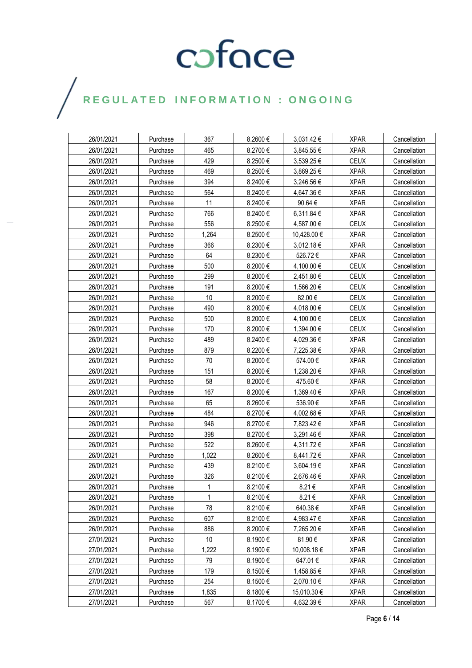| 26/01/2021 | Purchase | 367          | 8.2600€ | 3,031.42 €     | <b>XPAR</b> | Cancellation |
|------------|----------|--------------|---------|----------------|-------------|--------------|
| 26/01/2021 | Purchase | 465          | 8.2700€ | 3,845.55 €     | <b>XPAR</b> | Cancellation |
| 26/01/2021 | Purchase | 429          | 8.2500€ | 3,539.25 €     | <b>CEUX</b> | Cancellation |
| 26/01/2021 | Purchase | 469          | 8.2500€ | 3,869.25 €     | <b>XPAR</b> | Cancellation |
| 26/01/2021 | Purchase | 394          | 8.2400€ | 3,246.56 €     | <b>XPAR</b> | Cancellation |
| 26/01/2021 | Purchase | 564          | 8.2400€ | 4,647.36 €     | <b>XPAR</b> | Cancellation |
| 26/01/2021 | Purchase | 11           | 8.2400€ | 90.64€         | <b>XPAR</b> | Cancellation |
| 26/01/2021 | Purchase | 766          | 8.2400€ | 6,311.84 €     | <b>XPAR</b> | Cancellation |
| 26/01/2021 | Purchase | 556          | 8.2500€ | 4,587.00 €     | <b>CEUX</b> | Cancellation |
| 26/01/2021 | Purchase | 1,264        | 8.2500€ | 10,428.00 €    | <b>XPAR</b> | Cancellation |
| 26/01/2021 | Purchase | 366          | 8.2300€ | $3,012.18 \in$ | <b>XPAR</b> | Cancellation |
| 26/01/2021 | Purchase | 64           | 8.2300€ | 526.72€        | <b>XPAR</b> | Cancellation |
| 26/01/2021 | Purchase | 500          | 8.2000€ | 4,100.00 €     | <b>CEUX</b> | Cancellation |
| 26/01/2021 | Purchase | 299          | 8.2000€ | 2,451.80 €     | <b>CEUX</b> | Cancellation |
| 26/01/2021 | Purchase | 191          | 8.2000€ | 1,566.20€      | <b>CEUX</b> | Cancellation |
| 26/01/2021 | Purchase | 10           | 8.2000€ | 82.00€         | <b>CEUX</b> | Cancellation |
| 26/01/2021 | Purchase | 490          | 8.2000€ | 4,018.00 €     | <b>CEUX</b> | Cancellation |
| 26/01/2021 | Purchase | 500          | 8.2000€ | 4,100.00 €     | <b>CEUX</b> | Cancellation |
| 26/01/2021 | Purchase | 170          | 8.2000€ | 1,394.00 €     | <b>CEUX</b> | Cancellation |
| 26/01/2021 | Purchase | 489          | 8.2400€ | 4,029.36 €     | <b>XPAR</b> | Cancellation |
| 26/01/2021 | Purchase | 879          | 8.2200€ | 7,225.38 €     | <b>XPAR</b> | Cancellation |
| 26/01/2021 | Purchase | 70           | 8.2000€ | 574.00€        | <b>XPAR</b> | Cancellation |
| 26/01/2021 | Purchase | 151          | 8.2000€ | 1,238.20 €     | <b>XPAR</b> | Cancellation |
| 26/01/2021 | Purchase | 58           | 8.2000€ | 475.60€        | <b>XPAR</b> | Cancellation |
| 26/01/2021 | Purchase | 167          | 8.2000€ | 1,369.40 €     | <b>XPAR</b> | Cancellation |
| 26/01/2021 | Purchase | 65           | 8.2600€ | 536.90€        | <b>XPAR</b> | Cancellation |
| 26/01/2021 | Purchase | 484          | 8.2700€ | 4,002.68€      | <b>XPAR</b> | Cancellation |
| 26/01/2021 | Purchase | 946          | 8.2700€ | 7,823.42 €     | <b>XPAR</b> | Cancellation |
| 26/01/2021 | Purchase | 398          | 8.2700€ | 3,291.46 €     | <b>XPAR</b> | Cancellation |
| 26/01/2021 | Purchase | 522          | 8.2600€ | 4,311.72 €     | <b>XPAR</b> | Cancellation |
| 26/01/2021 | Purchase | 1,022        | 8.2600€ | 8,441.72€      | <b>XPAR</b> | Cancellation |
| 26/01/2021 | Purchase | 439          | 8.2100€ | 3,604.19€      | <b>XPAR</b> | Cancellation |
| 26/01/2021 | Purchase | 326          | 8.2100€ | 2,676.46 €     | <b>XPAR</b> | Cancellation |
| 26/01/2021 | Purchase | $\mathbf{1}$ | 8.2100€ | 8.21€          | <b>XPAR</b> | Cancellation |
| 26/01/2021 | Purchase | 1            | 8.2100€ | 8.21€          | <b>XPAR</b> | Cancellation |
| 26/01/2021 | Purchase | 78           | 8.2100€ | 640.38€        | <b>XPAR</b> | Cancellation |
| 26/01/2021 | Purchase | 607          | 8.2100€ | 4,983.47€      | <b>XPAR</b> | Cancellation |
| 26/01/2021 | Purchase | 886          | 8.2000€ | 7,265.20 €     | <b>XPAR</b> | Cancellation |
| 27/01/2021 | Purchase | $10$         | 8.1900€ | 81.90€         | <b>XPAR</b> | Cancellation |
| 27/01/2021 | Purchase | 1,222        | 8.1900€ | 10,008.18€     | <b>XPAR</b> | Cancellation |
| 27/01/2021 | Purchase | 79           | 8.1900€ | 647.01€        | <b>XPAR</b> | Cancellation |
| 27/01/2021 | Purchase | 179          | 8.1500€ | 1,458.85 €     | <b>XPAR</b> | Cancellation |
| 27/01/2021 | Purchase | 254          | 8.1500€ | 2,070.10 €     | <b>XPAR</b> | Cancellation |
| 27/01/2021 | Purchase | 1,835        | 8.1800€ | 15,010.30 €    | <b>XPAR</b> | Cancellation |
| 27/01/2021 | Purchase | 567          | 8.1700€ | 4,632.39€      | <b>XPAR</b> | Cancellation |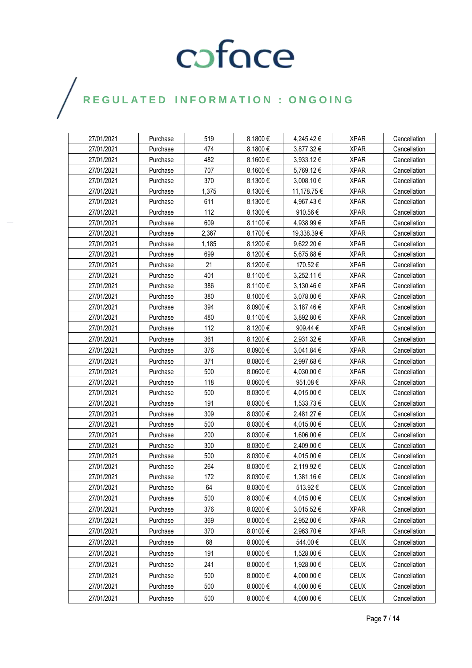| 27/01/2021 | Purchase | 519   | 8.1800€ | 4,245.42 €  | <b>XPAR</b> | Cancellation |
|------------|----------|-------|---------|-------------|-------------|--------------|
| 27/01/2021 | Purchase | 474   | 8.1800€ | 3,877.32€   | <b>XPAR</b> | Cancellation |
| 27/01/2021 | Purchase | 482   | 8.1600€ | 3,933.12 €  | <b>XPAR</b> | Cancellation |
| 27/01/2021 | Purchase | 707   | 8.1600€ | 5,769.12€   | <b>XPAR</b> | Cancellation |
| 27/01/2021 | Purchase | 370   | 8.1300€ | 3,008.10€   | <b>XPAR</b> | Cancellation |
| 27/01/2021 | Purchase | 1,375 | 8.1300€ | 11,178.75 € | <b>XPAR</b> | Cancellation |
| 27/01/2021 | Purchase | 611   | 8.1300€ | 4,967.43 €  | <b>XPAR</b> | Cancellation |
| 27/01/2021 | Purchase | 112   | 8.1300€ | 910.56€     | <b>XPAR</b> | Cancellation |
| 27/01/2021 | Purchase | 609   | 8.1100€ | 4,938.99 €  | <b>XPAR</b> | Cancellation |
| 27/01/2021 | Purchase | 2,367 | 8.1700€ | 19,338.39€  | <b>XPAR</b> | Cancellation |
| 27/01/2021 | Purchase | 1,185 | 8.1200€ | 9,622.20€   | <b>XPAR</b> | Cancellation |
| 27/01/2021 | Purchase | 699   | 8.1200€ | 5,675.88 €  | <b>XPAR</b> | Cancellation |
| 27/01/2021 | Purchase | 21    | 8.1200€ | 170.52€     | <b>XPAR</b> | Cancellation |
| 27/01/2021 | Purchase | 401   | 8.1100€ | 3,252.11 €  | <b>XPAR</b> | Cancellation |
| 27/01/2021 | Purchase | 386   | 8.1100€ | 3,130.46 €  | <b>XPAR</b> | Cancellation |
| 27/01/2021 | Purchase | 380   | 8.1000€ | 3,078.00 €  | <b>XPAR</b> | Cancellation |
| 27/01/2021 | Purchase | 394   | 8.0900€ | 3,187.46€   | <b>XPAR</b> | Cancellation |
| 27/01/2021 | Purchase | 480   | 8.1100€ | 3,892.80 €  | <b>XPAR</b> | Cancellation |
| 27/01/2021 | Purchase | 112   | 8.1200€ | 909.44 €    | <b>XPAR</b> | Cancellation |
| 27/01/2021 | Purchase | 361   | 8.1200€ | 2,931.32€   | <b>XPAR</b> | Cancellation |
| 27/01/2021 | Purchase | 376   | 8.0900€ | 3,041.84 €  | <b>XPAR</b> | Cancellation |
| 27/01/2021 | Purchase | 371   | 8.0800€ | 2,997.68€   | <b>XPAR</b> | Cancellation |
| 27/01/2021 | Purchase | 500   | 8.0600€ | 4,030.00 €  | <b>XPAR</b> | Cancellation |
| 27/01/2021 | Purchase | 118   | 8.0600€ | 951.08€     | <b>XPAR</b> | Cancellation |
| 27/01/2021 | Purchase | 500   | 8.0300€ | 4,015.00 €  | <b>CEUX</b> | Cancellation |
| 27/01/2021 | Purchase | 191   | 8.0300€ | 1,533.73 €  | <b>CEUX</b> | Cancellation |
| 27/01/2021 | Purchase | 309   | 8.0300€ | 2,481.27 €  | <b>CEUX</b> | Cancellation |
| 27/01/2021 | Purchase | 500   | 8.0300€ | 4,015.00 €  | <b>CEUX</b> | Cancellation |
| 27/01/2021 | Purchase | 200   | 8.0300€ | 1,606.00 €  | <b>CEUX</b> | Cancellation |
| 27/01/2021 | Purchase | 300   | 8.0300€ | 2,409.00 €  | <b>CEUX</b> | Cancellation |
| 27/01/2021 | Purchase | 500   | 8.0300€ | 4,015.00€   | <b>CEUX</b> | Cancellation |
| 27/01/2021 | Purchase | 264   | 8.0300€ | 2,119.92 €  | <b>CEUX</b> | Cancellation |
| 27/01/2021 | Purchase | 172   | 8.0300€ | 1,381.16€   | <b>CEUX</b> | Cancellation |
| 27/01/2021 | Purchase | 64    | 8.0300€ | 513.92€     | CEUX        | Cancellation |
| 27/01/2021 | Purchase | 500   | 8.0300€ | 4,015.00 €  | <b>CEUX</b> | Cancellation |
| 27/01/2021 | Purchase | 376   | 8.0200€ | 3,015.52 €  | <b>XPAR</b> | Cancellation |
| 27/01/2021 | Purchase | 369   | 8.0000€ | 2,952.00€   | <b>XPAR</b> | Cancellation |
| 27/01/2021 | Purchase | 370   | 8.0100€ | 2,963.70 €  | <b>XPAR</b> | Cancellation |
| 27/01/2021 | Purchase | 68    | 8.0000€ | 544.00€     | <b>CEUX</b> | Cancellation |
| 27/01/2021 | Purchase | 191   | 8.0000€ | 1,528.00 €  | <b>CEUX</b> | Cancellation |
| 27/01/2021 | Purchase | 241   | 8.0000€ | 1,928.00 €  | <b>CEUX</b> | Cancellation |
| 27/01/2021 | Purchase | 500   | 8.0000€ | 4,000.00 €  | <b>CEUX</b> | Cancellation |
| 27/01/2021 | Purchase | 500   | 8.0000€ | 4,000.00 €  | <b>CEUX</b> | Cancellation |
| 27/01/2021 | Purchase | 500   | 8.0000€ | 4,000.00 €  | <b>CEUX</b> | Cancellation |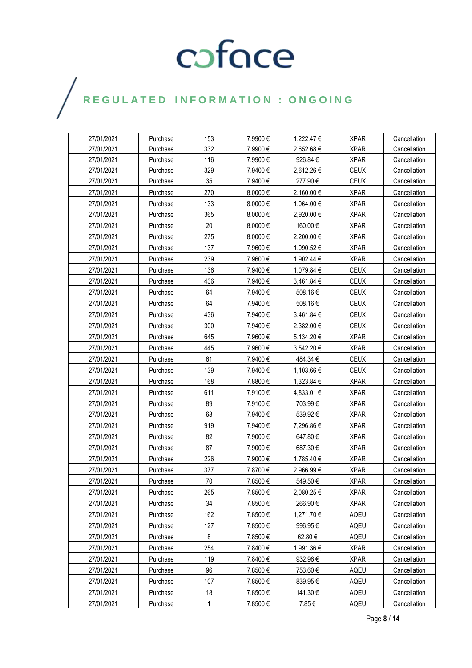| 27/01/2021 | Purchase | 153 | 7.9900€      | 1,222.47 € | <b>XPAR</b> | Cancellation |
|------------|----------|-----|--------------|------------|-------------|--------------|
| 27/01/2021 | Purchase | 332 | 7.9900€      | 2,652.68€  | <b>XPAR</b> | Cancellation |
| 27/01/2021 | Purchase | 116 | 7.9900€      | 926.84€    | <b>XPAR</b> | Cancellation |
| 27/01/2021 | Purchase | 329 | 7.9400€      | 2,612.26 € | <b>CEUX</b> | Cancellation |
| 27/01/2021 | Purchase | 35  | 7.9400€      | 277.90€    | <b>CEUX</b> | Cancellation |
| 27/01/2021 | Purchase | 270 | $8.0000 \in$ | 2,160.00 € | <b>XPAR</b> | Cancellation |
| 27/01/2021 | Purchase | 133 | 8.0000€      | 1,064.00 € | <b>XPAR</b> | Cancellation |
| 27/01/2021 | Purchase | 365 | 8.0000€      | 2,920.00€  | <b>XPAR</b> | Cancellation |
| 27/01/2021 | Purchase | 20  | 8.0000€      | 160.00€    | <b>XPAR</b> | Cancellation |
| 27/01/2021 | Purchase | 275 | 8.0000€      | 2,200.00 € | <b>XPAR</b> | Cancellation |
| 27/01/2021 | Purchase | 137 | 7.9600€      | 1,090.52 € | <b>XPAR</b> | Cancellation |
| 27/01/2021 | Purchase | 239 | 7.9600€      | 1,902.44 € | <b>XPAR</b> | Cancellation |
| 27/01/2021 | Purchase | 136 | 7.9400€      | 1,079.84 € | <b>CEUX</b> | Cancellation |
| 27/01/2021 | Purchase | 436 | 7.9400€      | 3,461.84 € | <b>CEUX</b> | Cancellation |
| 27/01/2021 | Purchase | 64  | 7.9400€      | 508.16€    | <b>CEUX</b> | Cancellation |
| 27/01/2021 | Purchase | 64  | 7.9400€      | 508.16€    | <b>CEUX</b> | Cancellation |
| 27/01/2021 | Purchase | 436 | 7.9400€      | 3,461.84 € | <b>CEUX</b> | Cancellation |
| 27/01/2021 | Purchase | 300 | 7.9400€      | 2,382.00 € | <b>CEUX</b> | Cancellation |
| 27/01/2021 | Purchase | 645 | 7.9600€      | 5,134.20€  | <b>XPAR</b> | Cancellation |
| 27/01/2021 | Purchase | 445 | 7.9600€      | 3,542.20 € | <b>XPAR</b> | Cancellation |
| 27/01/2021 | Purchase | 61  | 7.9400€      | 484.34 €   | <b>CEUX</b> | Cancellation |
| 27/01/2021 | Purchase | 139 | 7.9400€      | 1,103.66 € | <b>CEUX</b> | Cancellation |
| 27/01/2021 | Purchase | 168 | 7.8800€      | 1,323.84 € | <b>XPAR</b> | Cancellation |
| 27/01/2021 | Purchase | 611 | 7.9100€      | 4,833.01 € | <b>XPAR</b> | Cancellation |
| 27/01/2021 | Purchase | 89  | 7.9100€      | 703.99€    | <b>XPAR</b> | Cancellation |
| 27/01/2021 | Purchase | 68  | 7.9400€      | 539.92€    | <b>XPAR</b> | Cancellation |
| 27/01/2021 | Purchase | 919 | 7.9400€      | 7,296.86 € | <b>XPAR</b> | Cancellation |
| 27/01/2021 | Purchase | 82  | 7.9000€      | 647.80€    | <b>XPAR</b> | Cancellation |
| 27/01/2021 | Purchase | 87  | 7.9000€      | 687.30€    | <b>XPAR</b> | Cancellation |
| 27/01/2021 | Purchase | 226 | 7.9000€      | 1,785.40 € | <b>XPAR</b> | Cancellation |
| 27/01/2021 | Purchase | 377 | 7.8700€      | 2,966.99€  | <b>XPAR</b> | Cancellation |
| 27/01/2021 | Purchase | 70  | 7.8500€      | 549.50€    | <b>XPAR</b> | Cancellation |
| 27/01/2021 | Purchase | 265 | 7.8500€      | 2,080.25€  | <b>XPAR</b> | Cancellation |
| 27/01/2021 | Purchase | 34  | 7.8500€      | 266.90€    | <b>XPAR</b> | Cancellation |
| 27/01/2021 | Purchase | 162 | 7.8500€      | 1,271.70 € | AQEU        | Cancellation |
| 27/01/2021 | Purchase | 127 | 7.8500€      | 996.95€    | AQEU        | Cancellation |
| 27/01/2021 | Purchase | 8   | 7.8500€      | 62.80€     | AQEU        | Cancellation |
| 27/01/2021 | Purchase | 254 | 7.8400€      | 1,991.36 € | <b>XPAR</b> | Cancellation |
| 27/01/2021 | Purchase | 119 | 7.8400€      | 932.96€    | <b>XPAR</b> | Cancellation |
| 27/01/2021 | Purchase | 96  | 7.8500€      | 753.60€    | AQEU        | Cancellation |
| 27/01/2021 | Purchase | 107 | 7.8500€      | 839.95€    | AQEU        | Cancellation |
| 27/01/2021 | Purchase | 18  | 7.8500€      | 141.30€    | AQEU        | Cancellation |
| 27/01/2021 | Purchase | 1   | 7.8500€      | 7.85€      | AQEU        | Cancellation |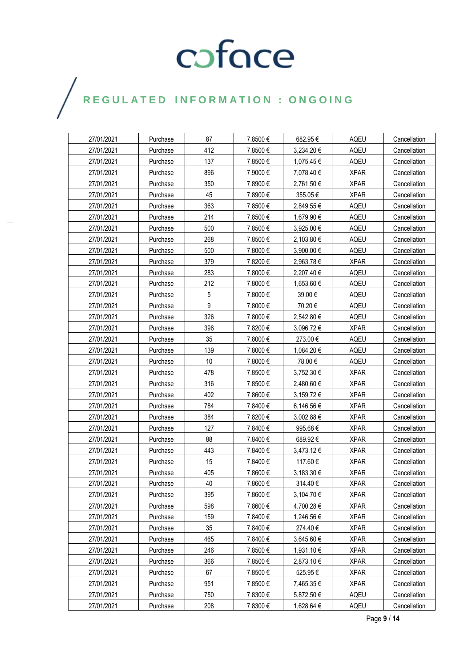| 27/01/2021 | Purchase | 87  | 7.8500€  | 682.95€    | AQEU        | Cancellation |
|------------|----------|-----|----------|------------|-------------|--------------|
| 27/01/2021 | Purchase | 412 | 7.8500€  | 3,234.20€  | AQEU        | Cancellation |
| 27/01/2021 | Purchase | 137 | 7.8500€  | 1,075.45 € | AQEU        | Cancellation |
| 27/01/2021 | Purchase | 896 | 7.9000€  | 7,078.40 € | <b>XPAR</b> | Cancellation |
| 27/01/2021 | Purchase | 350 | 7.8900€  | 2,761.50 € | <b>XPAR</b> | Cancellation |
| 27/01/2021 | Purchase | 45  | 7.8900 € | 355.05€    | <b>XPAR</b> | Cancellation |
| 27/01/2021 | Purchase | 363 | 7.8500€  | 2,849.55€  | AQEU        | Cancellation |
| 27/01/2021 | Purchase | 214 | 7.8500€  | 1,679.90 € | AQEU        | Cancellation |
| 27/01/2021 | Purchase | 500 | 7.8500€  | 3,925.00 € | AQEU        | Cancellation |
| 27/01/2021 | Purchase | 268 | 7.8500€  | 2,103.80 € | AQEU        | Cancellation |
| 27/01/2021 | Purchase | 500 | 7.8000€  | 3,900.00 € | AQEU        | Cancellation |
| 27/01/2021 | Purchase | 379 | 7.8200€  | 2,963.78 € | <b>XPAR</b> | Cancellation |
| 27/01/2021 | Purchase | 283 | 7.8000€  | 2,207.40 € | AQEU        | Cancellation |
| 27/01/2021 | Purchase | 212 | 7.8000€  | 1,653.60 € | AQEU        | Cancellation |
| 27/01/2021 | Purchase | 5   | 7.8000 € | 39.00€     | AQEU        | Cancellation |
| 27/01/2021 | Purchase | 9   | 7.8000€  | 70.20€     | AQEU        | Cancellation |
| 27/01/2021 | Purchase | 326 | 7.8000€  | 2,542.80 € | AQEU        | Cancellation |
| 27/01/2021 | Purchase | 396 | 7.8200€  | 3,096.72 € | <b>XPAR</b> | Cancellation |
| 27/01/2021 | Purchase | 35  | 7.8000€  | 273.00€    | AQEU        | Cancellation |
| 27/01/2021 | Purchase | 139 | 7.8000€  | 1,084.20 € | AQEU        | Cancellation |
| 27/01/2021 | Purchase | 10  | 7.8000 € | 78.00€     | AQEU        | Cancellation |
| 27/01/2021 | Purchase | 478 | 7.8500€  | 3,752.30 € | <b>XPAR</b> | Cancellation |
| 27/01/2021 | Purchase | 316 | 7.8500€  | 2,480.60 € | <b>XPAR</b> | Cancellation |
| 27/01/2021 | Purchase | 402 | 7.8600€  | 3,159.72 € | <b>XPAR</b> | Cancellation |
| 27/01/2021 | Purchase | 784 | 7.8400€  | 6,146.56 € | <b>XPAR</b> | Cancellation |
| 27/01/2021 | Purchase | 384 | 7.8200€  | 3,002.88 € | <b>XPAR</b> | Cancellation |
| 27/01/2021 | Purchase | 127 | 7.8400€  | 995.68€    | <b>XPAR</b> | Cancellation |
| 27/01/2021 | Purchase | 88  | 7.8400€  | 689.92€    | <b>XPAR</b> | Cancellation |
| 27/01/2021 | Purchase | 443 | 7.8400€  | 3,473.12 € | <b>XPAR</b> | Cancellation |
| 27/01/2021 | Purchase | 15  | 7.8400€  | 117.60€    | <b>XPAR</b> | Cancellation |
| 27/01/2021 | Purchase | 405 | 7.8600€  | 3,183.30 € | <b>XPAR</b> | Cancellation |
| 27/01/2021 | Purchase | 40  | 7.8600€  | 314.40€    | <b>XPAR</b> | Cancellation |
| 27/01/2021 | Purchase | 395 | 7.8600€  | 3,104.70 € | <b>XPAR</b> | Cancellation |
| 27/01/2021 | Purchase | 598 | 7.8600€  | 4,700.28€  | <b>XPAR</b> | Cancellation |
| 27/01/2021 | Purchase | 159 | 7.8400€  | 1,246.56 € | <b>XPAR</b> | Cancellation |
| 27/01/2021 | Purchase | 35  | 7.8400€  | 274.40€    | <b>XPAR</b> | Cancellation |
| 27/01/2021 | Purchase | 465 | 7.8400€  | 3,645.60 € | <b>XPAR</b> | Cancellation |
| 27/01/2021 | Purchase | 246 | 7.8500€  | 1,931.10€  | <b>XPAR</b> | Cancellation |
| 27/01/2021 | Purchase | 366 | 7.8500€  | 2,873.10 € | <b>XPAR</b> | Cancellation |
| 27/01/2021 | Purchase | 67  | 7.8500€  | 525.95€    | <b>XPAR</b> | Cancellation |
| 27/01/2021 | Purchase | 951 | 7.8500€  | 7,465.35€  | <b>XPAR</b> | Cancellation |
| 27/01/2021 | Purchase | 750 | 7.8300€  | 5,872.50€  | AQEU        | Cancellation |
| 27/01/2021 | Purchase | 208 | 7.8300€  | 1,628.64 € | AQEU        | Cancellation |

 $\bigg)$ 

Page **9** / **14**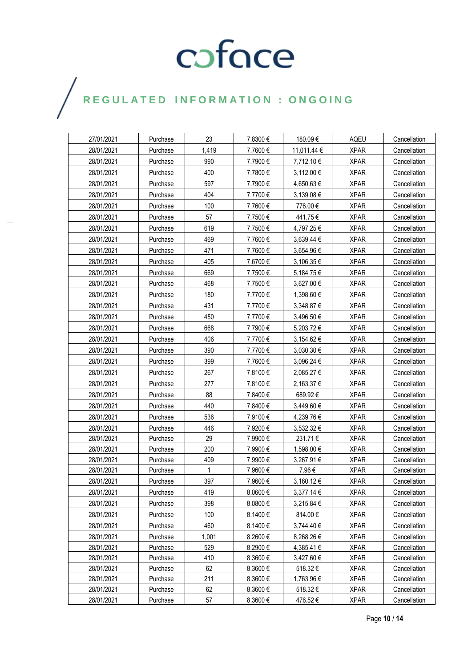| 27/01/2021 | Purchase | 23    | 7.8300€  | 180.09€     | AQEU        | Cancellation |
|------------|----------|-------|----------|-------------|-------------|--------------|
| 28/01/2021 | Purchase | 1,419 | 7.7600€  | 11,011.44 € | <b>XPAR</b> | Cancellation |
| 28/01/2021 | Purchase | 990   | 7.7900€  | 7,712.10€   | <b>XPAR</b> | Cancellation |
| 28/01/2021 | Purchase | 400   | 7.7800€  | 3,112.00 €  | <b>XPAR</b> | Cancellation |
| 28/01/2021 | Purchase | 597   | 7.7900€  | 4,650.63€   | <b>XPAR</b> | Cancellation |
| 28/01/2021 | Purchase | 404   | 7.7700€  | 3,139.08 €  | <b>XPAR</b> | Cancellation |
| 28/01/2021 | Purchase | 100   | 7.7600€  | 776.00€     | <b>XPAR</b> | Cancellation |
| 28/01/2021 | Purchase | 57    | 7.7500€  | 441.75€     | <b>XPAR</b> | Cancellation |
| 28/01/2021 | Purchase | 619   | 7.7500€  | 4,797.25 €  | <b>XPAR</b> | Cancellation |
| 28/01/2021 | Purchase | 469   | 7.7600€  | 3,639.44 €  | <b>XPAR</b> | Cancellation |
| 28/01/2021 | Purchase | 471   | 7.7600€  | 3,654.96 €  | <b>XPAR</b> | Cancellation |
| 28/01/2021 | Purchase | 405   | 7.6700€  | 3,106.35 €  | <b>XPAR</b> | Cancellation |
| 28/01/2021 | Purchase | 669   | 7.7500€  | 5,184.75€   | <b>XPAR</b> | Cancellation |
| 28/01/2021 | Purchase | 468   | 7.7500€  | 3,627.00 €  | <b>XPAR</b> | Cancellation |
| 28/01/2021 | Purchase | 180   | 7.7700€  | 1,398.60 €  | <b>XPAR</b> | Cancellation |
| 28/01/2021 | Purchase | 431   | 7.7700€  | 3,348.87€   | <b>XPAR</b> | Cancellation |
| 28/01/2021 | Purchase | 450   | 7.7700€  | 3,496.50 €  | <b>XPAR</b> | Cancellation |
| 28/01/2021 | Purchase | 668   | 7.7900€  | 5,203.72 €  | <b>XPAR</b> | Cancellation |
| 28/01/2021 | Purchase | 406   | 7.7700€  | 3,154.62€   | <b>XPAR</b> | Cancellation |
| 28/01/2021 | Purchase | 390   | 7.7700€  | 3,030.30 €  | <b>XPAR</b> | Cancellation |
| 28/01/2021 | Purchase | 399   | 7.7600€  | 3,096.24 €  | <b>XPAR</b> | Cancellation |
| 28/01/2021 | Purchase | 267   | 7.8100€  | 2,085.27 €  | <b>XPAR</b> | Cancellation |
| 28/01/2021 | Purchase | 277   | 7.8100€  | 2,163.37 €  | <b>XPAR</b> | Cancellation |
| 28/01/2021 | Purchase | 88    | 7.8400 € | 689.92€     | <b>XPAR</b> | Cancellation |
| 28/01/2021 | Purchase | 440   | 7.8400€  | 3,449.60 €  | <b>XPAR</b> | Cancellation |
| 28/01/2021 | Purchase | 536   | 7.9100€  | 4,239.76€   | <b>XPAR</b> | Cancellation |
| 28/01/2021 | Purchase | 446   | 7.9200€  | 3,532.32 €  | <b>XPAR</b> | Cancellation |
| 28/01/2021 | Purchase | 29    | 7.9900 € | 231.71€     | <b>XPAR</b> | Cancellation |
| 28/01/2021 | Purchase | 200   | 7.9900€  | 1,598.00 €  | <b>XPAR</b> | Cancellation |
| 28/01/2021 | Purchase | 409   | 7.9900€  | 3,267.91 €  | <b>XPAR</b> | Cancellation |
| 28/01/2021 | Purchase | 1     | 7.9600€  | 7.96€       | <b>XPAR</b> | Cancellation |
| 28/01/2021 | Purchase | 397   | 7.9600€  | 3,160.12€   | <b>XPAR</b> | Cancellation |
| 28/01/2021 | Purchase | 419   | 8.0600€  | 3,377.14 €  | <b>XPAR</b> | Cancellation |
| 28/01/2021 | Purchase | 398   | 8.0800€  | 3,215.84 €  | <b>XPAR</b> | Cancellation |
| 28/01/2021 | Purchase | 100   | 8.1400€  | 814.00€     | <b>XPAR</b> | Cancellation |
| 28/01/2021 | Purchase | 460   | 8.1400€  | 3,744.40 €  | <b>XPAR</b> | Cancellation |
| 28/01/2021 | Purchase | 1,001 | 8.2600€  | 8,268.26€   | <b>XPAR</b> | Cancellation |
| 28/01/2021 | Purchase | 529   | 8.2900€  | 4,385.41 €  | <b>XPAR</b> | Cancellation |
| 28/01/2021 | Purchase | 410   | 8.3600€  | 3,427.60 €  | <b>XPAR</b> | Cancellation |
| 28/01/2021 | Purchase | 62    | 8.3600€  | 518.32€     | <b>XPAR</b> | Cancellation |
| 28/01/2021 | Purchase | 211   | 8.3600€  | 1,763.96 €  | <b>XPAR</b> | Cancellation |
| 28/01/2021 | Purchase | 62    | 8.3600€  | 518.32€     | <b>XPAR</b> | Cancellation |
| 28/01/2021 | Purchase | 57    | 8.3600€  | 476.52€     | <b>XPAR</b> | Cancellation |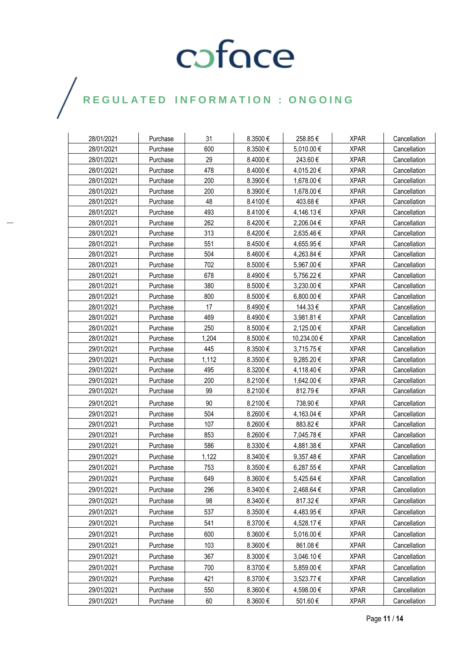| 28/01/2021 | Purchase | 31    | 8.3500€      | 258.85€     | <b>XPAR</b> | Cancellation |
|------------|----------|-------|--------------|-------------|-------------|--------------|
| 28/01/2021 | Purchase | 600   | 8.3500€      | 5,010.00€   | <b>XPAR</b> | Cancellation |
| 28/01/2021 | Purchase | 29    | 8.4000€      | 243.60€     | <b>XPAR</b> | Cancellation |
| 28/01/2021 | Purchase | 478   | 8.4000€      | 4,015.20€   | <b>XPAR</b> | Cancellation |
| 28/01/2021 | Purchase | 200   | 8.3900€      | 1,678.00 €  | <b>XPAR</b> | Cancellation |
| 28/01/2021 | Purchase | 200   | 8.3900€      | 1,678.00 €  | <b>XPAR</b> | Cancellation |
| 28/01/2021 | Purchase | 48    | 8.4100€      | 403.68€     | <b>XPAR</b> | Cancellation |
| 28/01/2021 | Purchase | 493   | 8.4100€      | 4,146.13 €  | <b>XPAR</b> | Cancellation |
| 28/01/2021 | Purchase | 262   | 8.4200€      | 2,206.04 €  | <b>XPAR</b> | Cancellation |
| 28/01/2021 | Purchase | 313   | 8.4200€      | 2,635.46 €  | <b>XPAR</b> | Cancellation |
| 28/01/2021 | Purchase | 551   | 8.4500€      | 4,655.95 €  | <b>XPAR</b> | Cancellation |
| 28/01/2021 | Purchase | 504   | 8.4600€      | 4,263.84 €  | <b>XPAR</b> | Cancellation |
| 28/01/2021 | Purchase | 702   | 8.5000€      | 5,967.00 €  | <b>XPAR</b> | Cancellation |
| 28/01/2021 | Purchase | 678   | 8.4900€      | 5,756.22 €  | <b>XPAR</b> | Cancellation |
| 28/01/2021 | Purchase | 380   | 8.5000€      | 3,230.00 €  | <b>XPAR</b> | Cancellation |
| 28/01/2021 | Purchase | 800   | 8.5000€      | 6,800.00 €  | <b>XPAR</b> | Cancellation |
| 28/01/2021 | Purchase | 17    | 8.4900€      | 144.33€     | <b>XPAR</b> | Cancellation |
| 28/01/2021 | Purchase | 469   | 8.4900€      | 3,981.81 €  | <b>XPAR</b> | Cancellation |
| 28/01/2021 | Purchase | 250   | 8.5000€      | 2,125.00 €  | <b>XPAR</b> | Cancellation |
| 28/01/2021 | Purchase | 1,204 | 8.5000€      | 10,234.00 € | <b>XPAR</b> | Cancellation |
| 29/01/2021 | Purchase | 445   | 8.3500€      | 3,715.75€   | <b>XPAR</b> | Cancellation |
| 29/01/2021 | Purchase | 1,112 | 8.3500€      | 9,285.20 €  | <b>XPAR</b> | Cancellation |
| 29/01/2021 | Purchase | 495   | 8.3200€      | 4,118.40 €  | <b>XPAR</b> | Cancellation |
| 29/01/2021 | Purchase | 200   | 8.2100 €     | 1,642.00 €  | <b>XPAR</b> | Cancellation |
| 29/01/2021 | Purchase | 99    | 8.2100€      | 812.79€     | <b>XPAR</b> | Cancellation |
| 29/01/2021 | Purchase | 90    | 8.2100€      | 738.90€     | <b>XPAR</b> | Cancellation |
| 29/01/2021 | Purchase | 504   | 8.2600€      | 4,163.04 €  | <b>XPAR</b> | Cancellation |
| 29/01/2021 | Purchase | 107   | 8.2600 $\in$ | 883.82€     | <b>XPAR</b> | Cancellation |
| 29/01/2021 | Purchase | 853   | 8.2600€      | 7,045.78€   | <b>XPAR</b> | Cancellation |
| 29/01/2021 | Purchase | 586   | 8.3300€      | 4,881.38 €  | <b>XPAR</b> | Cancellation |
| 29/01/2021 | Purchase | 1,122 | 8.3400 €     | 9,357.48€   | <b>XPAR</b> | Cancellation |
| 29/01/2021 | Purchase | 753   | 8.3500€      | 6,287.55 €  | <b>XPAR</b> | Cancellation |
| 29/01/2021 | Purchase | 649   | 8.3600€      | 5,425.64 €  | <b>XPAR</b> | Cancellation |
| 29/01/2021 | Purchase | 296   | $8.3400 \in$ | 2,468.64 €  | <b>XPAR</b> | Cancellation |
| 29/01/2021 | Purchase | 98    | 8.3400 €     | 817.32€     | <b>XPAR</b> | Cancellation |
| 29/01/2021 | Purchase | 537   | 8.3500€      | 4,483.95€   | <b>XPAR</b> | Cancellation |
| 29/01/2021 | Purchase | 541   | 8.3700€      | 4,528.17 €  | <b>XPAR</b> | Cancellation |
| 29/01/2021 | Purchase | 600   | 8.3600€      | 5,016.00 €  | <b>XPAR</b> | Cancellation |
| 29/01/2021 | Purchase | 103   | 8.3600€      | 861.08€     | <b>XPAR</b> | Cancellation |
| 29/01/2021 | Purchase | 367   | 8.3000€      | 3,046.10 €  | <b>XPAR</b> | Cancellation |
| 29/01/2021 | Purchase | 700   | 8.3700€      | 5,859.00 €  | <b>XPAR</b> | Cancellation |
| 29/01/2021 | Purchase | 421   | 8.3700€      | 3,523.77 €  | <b>XPAR</b> | Cancellation |
| 29/01/2021 | Purchase | 550   | 8.3600€      | 4,598.00 €  | <b>XPAR</b> | Cancellation |
|            |          |       |              |             |             |              |
| 29/01/2021 | Purchase | 60    | 8.3600€      | 501.60€     | <b>XPAR</b> | Cancellation |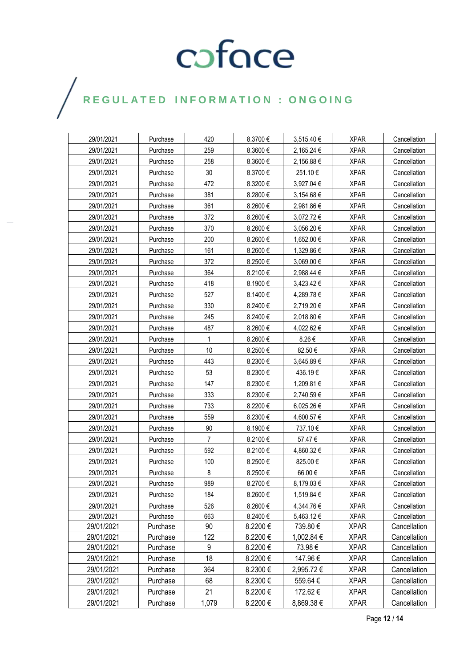### $\bigg)$

| 29/01/2021 | Purchase | 420            | 8.3700€ | 3,515.40 € | <b>XPAR</b> | Cancellation |
|------------|----------|----------------|---------|------------|-------------|--------------|
| 29/01/2021 | Purchase | 259            | 8.3600€ | 2,165.24 € | <b>XPAR</b> | Cancellation |
| 29/01/2021 | Purchase | 258            | 8.3600€ | 2,156.88 € | <b>XPAR</b> | Cancellation |
| 29/01/2021 | Purchase | 30             | 8.3700€ | 251.10€    | <b>XPAR</b> | Cancellation |
| 29/01/2021 | Purchase | 472            | 8.3200€ | 3,927.04 € | <b>XPAR</b> | Cancellation |
| 29/01/2021 | Purchase | 381            | 8.2800€ | 3,154.68 € | <b>XPAR</b> | Cancellation |
| 29/01/2021 | Purchase | 361            | 8.2600€ | 2,981.86 € | <b>XPAR</b> | Cancellation |
| 29/01/2021 | Purchase | 372            | 8.2600€ | 3,072.72 € | <b>XPAR</b> | Cancellation |
| 29/01/2021 | Purchase | 370            | 8.2600€ | 3,056.20 € | <b>XPAR</b> | Cancellation |
| 29/01/2021 | Purchase | 200            | 8.2600€ | 1,652.00 € | <b>XPAR</b> | Cancellation |
| 29/01/2021 | Purchase | 161            | 8.2600€ | 1,329.86 € | <b>XPAR</b> | Cancellation |
| 29/01/2021 | Purchase | 372            | 8.2500€ | 3,069.00 € | <b>XPAR</b> | Cancellation |
| 29/01/2021 | Purchase | 364            | 8.2100€ | 2,988.44 € | <b>XPAR</b> | Cancellation |
| 29/01/2021 | Purchase | 418            | 8.1900€ | 3,423.42 € | <b>XPAR</b> | Cancellation |
| 29/01/2021 | Purchase | 527            | 8.1400€ | 4,289.78 € | <b>XPAR</b> | Cancellation |
| 29/01/2021 | Purchase | 330            | 8.2400€ | 2,719.20 € | <b>XPAR</b> | Cancellation |
| 29/01/2021 | Purchase | 245            | 8.2400€ | 2,018.80 € | <b>XPAR</b> | Cancellation |
| 29/01/2021 | Purchase | 487            | 8.2600€ | 4,022.62 € | <b>XPAR</b> | Cancellation |
| 29/01/2021 | Purchase | 1              | 8.2600€ | 8.26€      | <b>XPAR</b> | Cancellation |
| 29/01/2021 | Purchase | 10             | 8.2500€ | 82.50€     | <b>XPAR</b> | Cancellation |
| 29/01/2021 | Purchase | 443            | 8.2300€ | 3,645.89€  | <b>XPAR</b> | Cancellation |
| 29/01/2021 | Purchase | 53             | 8.2300€ | 436.19€    | <b>XPAR</b> | Cancellation |
| 29/01/2021 | Purchase | 147            | 8.2300€ | 1,209.81 € | <b>XPAR</b> | Cancellation |
| 29/01/2021 | Purchase | 333            | 8.2300€ | 2,740.59€  | <b>XPAR</b> | Cancellation |
| 29/01/2021 | Purchase | 733            | 8.2200€ | 6,025.26€  | <b>XPAR</b> | Cancellation |
| 29/01/2021 | Purchase | 559            | 8.2300€ | 4,600.57 € | <b>XPAR</b> | Cancellation |
| 29/01/2021 | Purchase | 90             | 8.1900€ | 737.10€    | <b>XPAR</b> | Cancellation |
| 29/01/2021 | Purchase | $\overline{7}$ | 8.2100€ | 57.47€     | <b>XPAR</b> | Cancellation |
| 29/01/2021 | Purchase | 592            | 8.2100€ | 4,860.32 € | <b>XPAR</b> | Cancellation |
| 29/01/2021 | Purchase | 100            | 8.2500€ | 825.00€    | <b>XPAR</b> | Cancellation |
| 29/01/2021 | Purchase | 8              | 8.2500€ | 66.00 €    | <b>XPAR</b> | Cancellation |
| 29/01/2021 | Purchase | 989            | 8.2700€ | 8,179.03 € | <b>XPAR</b> | Cancellation |
| 29/01/2021 | Purchase | 184            | 8.2600€ | 1,519.84 € | <b>XPAR</b> | Cancellation |
| 29/01/2021 | Purchase | 526            | 8.2600€ | 4,344.76€  | <b>XPAR</b> | Cancellation |
| 29/01/2021 | Purchase | 663            | 8.2400€ | 5,463.12€  | <b>XPAR</b> | Cancellation |
| 29/01/2021 | Purchase | 90             | 8.2200€ | 739.80€    | <b>XPAR</b> | Cancellation |
| 29/01/2021 | Purchase | 122            | 8.2200€ | 1,002.84 € | <b>XPAR</b> | Cancellation |
| 29/01/2021 | Purchase | 9              | 8.2200€ | 73.98€     | <b>XPAR</b> | Cancellation |
| 29/01/2021 | Purchase | 18             | 8.2200€ | 147.96€    | <b>XPAR</b> | Cancellation |
| 29/01/2021 | Purchase | 364            | 8.2300€ | 2,995.72€  | <b>XPAR</b> | Cancellation |
| 29/01/2021 | Purchase | 68             | 8.2300€ | 559.64 €   | <b>XPAR</b> | Cancellation |
| 29/01/2021 | Purchase | 21             | 8.2200€ | 172.62€    | <b>XPAR</b> | Cancellation |
| 29/01/2021 | Purchase | 1,079          | 8.2200€ | 8,869.38 € | <b>XPAR</b> | Cancellation |

Page **12** / **14**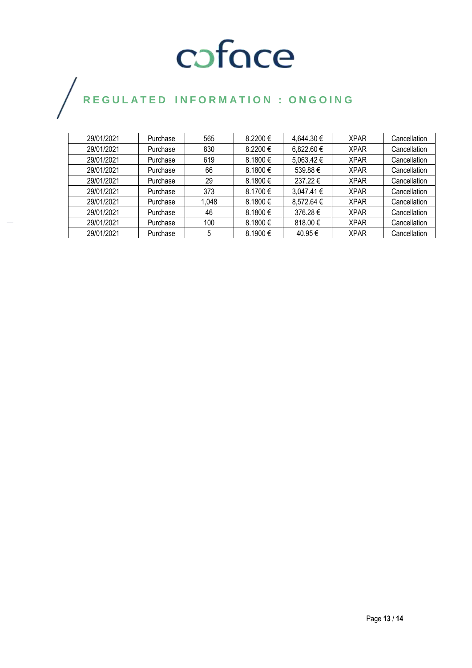### $\bigg)$

| 29/01/2021 | Purchase | 565   | $8.2200 \in$ | 4,644.30 €     | <b>XPAR</b> | Cancellation |
|------------|----------|-------|--------------|----------------|-------------|--------------|
| 29/01/2021 | Purchase | 830   | 8.2200€      | $6,822.60 \in$ | <b>XPAR</b> | Cancellation |
| 29/01/2021 | Purchase | 619   | 8.1800€      | $5,063.42 \in$ | <b>XPAR</b> | Cancellation |
| 29/01/2021 | Purchase | 66    | 8.1800€      | 539.88€        | <b>XPAR</b> | Cancellation |
| 29/01/2021 | Purchase | 29    | $8.1800 \in$ | 237.22€        | <b>XPAR</b> | Cancellation |
| 29/01/2021 | Purchase | 373   | 8.1700€      | $3,047.41 \in$ | <b>XPAR</b> | Cancellation |
| 29/01/2021 | Purchase | 1,048 | $8.1800 \in$ | 8,572.64 €     | <b>XPAR</b> | Cancellation |
| 29/01/2021 | Purchase | 46    | 8.1800€      | 376.28€        | <b>XPAR</b> | Cancellation |
| 29/01/2021 | Purchase | 100   | 8.1800€      | 818.00 $\in$   | <b>XPAR</b> | Cancellation |
| 29/01/2021 | Purchase | 5     | $8.1900 \in$ | 40.95 €        | <b>XPAR</b> | Cancellation |

Page **13** / **14**